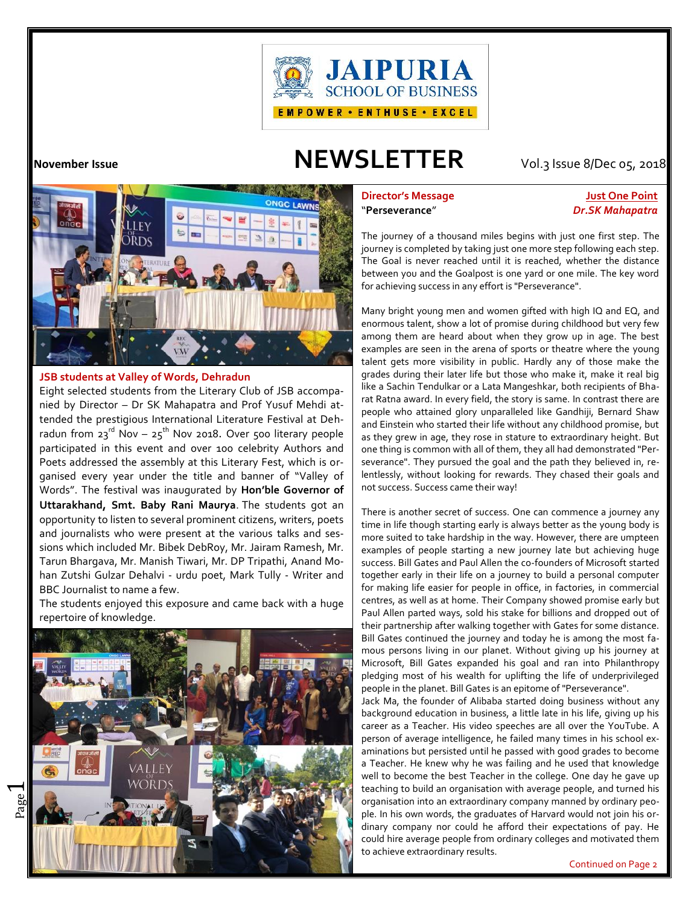

# **November Issue NEWSLETTER** Vol.3 Issue 8/Dec 05, 2018



# **JSB students at Valley of Words, Dehradun**

Eight selected students from the Literary Club of JSB accompanied by Director – Dr SK Mahapatra and Prof Yusuf Mehdi attended the prestigious International Literature Festival at Dehradun from 23<sup>rd</sup> Nov – 25<sup>th</sup> Nov 2018. Over 500 literary people  $\int_{aS}^{aS}$ participated in this event and over 100 celebrity Authors and Poets addressed the assembly at this Literary Fest, which is organised every year under the title and banner of "Valley of Words". The festival was inaugurated by **Hon'ble Governor of Uttarakhand, Smt. Baby Rani Maurya**. The students got an opportunity to listen to several prominent citizens, writers, poets and journalists who were present at the various talks and sessions which included Mr. Bibek DebRoy, Mr. Jairam Ramesh, Mr. Tarun Bhargava, Mr. Manish Tiwari, Mr. DP Tripathi, Anand Mohan Zutshi Gulzar Dehalvi - urdu poet, Mark Tully - Writer and BBC Journalist to name a few.

The students enjoyed this exposure and came back with a huge repertoire of knowledge.



# **Director's Message Just One Point** "**Perseverance**" *Dr.SK Mahapatra*

The journey of a thousand miles begins with just one first step. The journey is completed by taking just one more step following each step. The Goal is never reached until it is reached, whether the distance between you and the Goalpost is one yard or one mile. The key word for achieving success in any effort is "Perseverance".

Many bright young men and women gifted with high IQ and EQ, and enormous talent, show a lot of promise during childhood but very few among them are heard about when they grow up in age. The best examples are seen in the arena of sports or theatre where the young talent gets more visibility in public. Hardly any of those make the grades during their later life but those who make it, make it real big like a Sachin Tendulkar or a Lata Mangeshkar, both recipients of Bha rat Ratna award. In every field, the story is same. In contrast there are people who attained glory unparalleled like Gandhiji, Bernard Shaw and Einstein who started their life without any childhood promise, but as they grew in age, they rose in stature to extraordinary height. But one thing is common with all of them, they all had demonstrated "Per severance". They pursued the goal and the path they believed in, relentlessly, without looking for rewards. They chased their goals and not success. Success came their way!

There is another secret of success. One can commence a journey any time in life though starting early is always better as the young body is more suited to take hardship in the way. However, there are umpteen examples of people starting a new journey late but achieving huge success. Bill Gates and Paul Allen the co-founders of Microsoft started together early in their life on a journey to build a personal computer for making life easier for people in office, in factories, in commercial centres, as well as at home. Their Company showed promise early but Paul Allen parted ways, sold his stake for billions and dropped out of their partnership after walking together with Gates for some distance. Bill Gates continued the journey and today he is among the most fa mous persons living in our planet. Without giving up his journey at Microsoft, Bill Gates expanded his goal and ran into Philanthropy pledging most of his wealth for uplifting the life of underprivileged people in the planet. Bill Gates is an epitome of "Perseverance".

Jack Ma, the founder of Alibaba started doing business without any background education in business, a little late in his life, giving up his career as a Teacher. His video speeches are all over the YouTube. A person of average intelligence, he failed many times in his school ex aminations but persisted until he passed with good grades to become a Teacher. He knew why he was failing and he used that knowledge well to become the best Teacher in the college. One day he gave up teaching to build an organisation with average people, and turned his organisation into an extraordinary company manned by ordinary peo ple. In his own words, the graduates of Harvard would not join his or dinary company nor could he afford their expectations of pay. He could hire average people from ordinary colleges and motivated them to achieve extraordinary results.

Continued on Page 2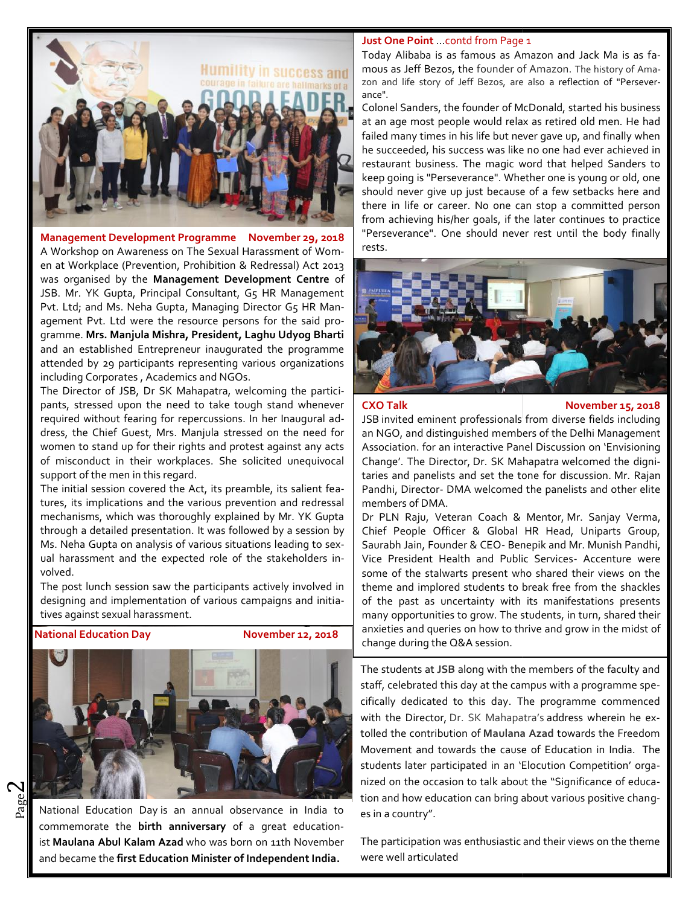

**Management Development Programme November 29, 2018** A Workshop on Awareness on The Sexual Harassment of Women at Workplace (Prevention, Prohibition & Redressal) Act 2013 en at Workplace (Prevention, Prohibition & Redressal) Act 2013 **1988**<br>was organised by the **Management Development Centre** of JSB. Mr. YK Gupta, Principal Consultant, G5 HR Management Pvt. Ltd; and Ms. Neha Gupta, Managing Director G5 HR Man-JSB. Mr. YK Gupta, Principal Consultant, G5 HR Management<br>Pvt. Ltd; and Ms. Neha Gupta, Managing Director G5 HR Man-<br>agement Pvt. Ltd were the resource persons for the said programme. **Mrs. Manjula Mishra, President, Laghu Udyog Bharti President,** and an established Entrepreneur inaugurated the programme and an established Entrepreneur inaugurated the programme including Corporates , Academics and NGOs. Management Peverlantine Royamme Movember 29, 2013<br>
A Workshop on Awareness on The Sexual Harassment of Vorm-<br>
Tests.<br>
And Award Consulting Section Revenues and The Sexual Harassment of Vorm-<br>
1983. Mr. YK Gupta, Principal

The Director of JSB, Dr SK Mahapatra, welcoming the participants, stressed upon the need to take tough stand whenever required without fearing for repercussions. In her Inaugural address, the Chief Guest, Mrs. Manjula stressed on the need for | an women to stand up for their rights and protest against any acts of misconduct in their workplaces. She solicited unequivocal support of the men in this regard. orporates, Academics and NGOs.<br>
or of JSB, Dr SK Mahapatra, welcoming the particissed upon the need to take tough stand whenever<br>
ithout fearing for repercussions. In her Inaugural ad-<br>
Chief Guest, Mrs. Manjula stressed o

The initial session covered the Act, its preamble, its salient features, its implications and the various prevention and redressal and mechanisms, which was thoroughly explained by Mr. YK Gupta through a detailed presentation. It was followed by a session by Ms. Neha Gupta on analysis of various situations leading to sexual harassment and the expected role of the stakeholders involved. misconduct in their workplaces. She solicited unequivocal<br>port of the men in this regard.<br>e initial session covered the Act, its preamble, its salient fea-<br>s, its implications and the various prevention and redressal<br>chani

The post lunch session saw the participants actively involved in designing and implementation of various campaigns and initiatives against sexual harassment.



Page National Education Day is an annual observance in India to commemorate the **birth anniversary** of a great educationist **Maulana Abul Kalam Azad** who was born on 11th November and became the **first Education Minister of Independent India.**

### **Just One Point** …contd from Page 1

Today Alibaba is as famous as Amazon and Jack Ma is as famous as Jeff Bezos, the founder of Amazon. The history of Ama zon and life story of Jeff Bezos, are also a reflection of "Persever ance".

Colonel Sanders, the founder of McDonald, started his business at an age most people would relax as retired old men. He had failed many times in his life but never gave up, and finally when he succeeded, his success was like no one had ever achieved in restaurant business. The magic word that helped Sanders to keep going is "Perseverance". Whether one is young or old, one should never give up just because of a few setbacks here and there in life or career. No one can stop a committed person from achieving his/her goals, if the later continues to practice "Perseverance". One should never rest until the body finally rests.



**CXO Talk November 15, 2018**

JSB invited eminent professionals from diverse fields including an NGO, and distinguished members of the Delhi Management Association. for an interactive Panel Discussion on 'Envisioning Change'. The Director, Dr. SK Mahapatra welcomed the dignitaries and panelists and set the tone for discussion. Mr. Rajan Pandhi, Director- DMA welcomed the panelists and other elite members of DMA.

Dr PLN Raju, Veteran Coach & Mentor, Mr. Sanjay Verma, Chief People Officer & Global HR Head, Uniparts Group, Saurabh Jain, Founder & CEO- Benepik and Mr. Munish Pandhi, Vice President Health and Public Services- Accenture were some of the stalwarts present who shared their views on the theme and implored students to break free from the shackles of the past as uncertainty with its manifestations presents many opportunities to grow. The students, in turn, shared their anxieties and queries on how to thrive and grow in the midst of change during the Q&A session.

The students at **JSB** along with the members of the faculty and staff, celebrated this day at the campus with a programme specifically dedicated to this day. The programme commenced with the Director, Dr. SK Mahapatra's address wherein he extolled the contribution of **Maulana Azad** towards the Freedom Movement and towards the cause of Education in India. The tolled the contribution of Maulana Azad towards the Freedom<br>Movement and towards the cause of Education in India. The<br>students later participated in an 'Elocution Competition' organized on the occasion to talk about the "Significance of educanized on the occasion to talk about the "Significance of educa-<br>tion and how education can bring about various positive changes in a country".

The participation was enthusiastic and their views on the theme were well articulated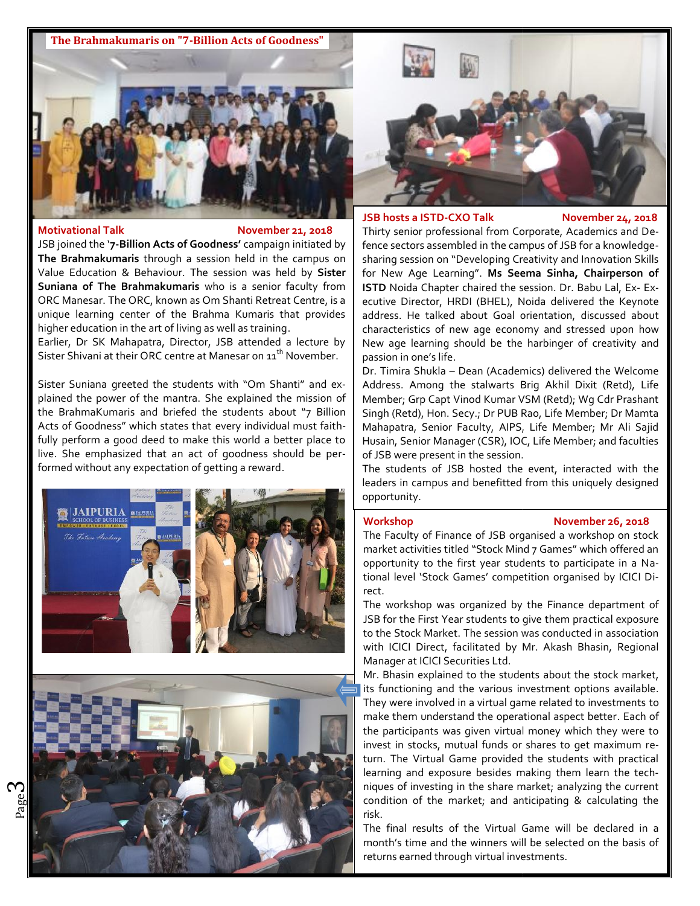

### **Motivational Talk Constructional Talk**

JSB joined the '**7-Billion Acts of Goodness'** campaign initiated by **The Brahmakumaris** through a session held in the campus on **The Brahmakumaris** through a session held in the campus on shall the Value Behaviour. The session was held by **Sister** the for **Suniana of The Brahmakumaris** who is a senior faculty from ORC Manesar. The ORC, known as Om Shanti Retreat Centre, is a unique learning center of the Brahma Kumaris that provides add higher education in the art of living as well as training. **Imaris** who is a senior faculty from<br>In as Om Shanti Retreat Centre, is a<br>the Brahma Kumaris that provides<br>fliving as well as training.

Earlier, Dr SK Mahapatra, Director, JSB attended a lecture by Sister Shivani at their ORC centre at Manesar on  $\mathfrak{u}^{\text{th}}$  November. , Dr SK Mahapatra, Director, JSB attended a lecture by<br>Shivani at their ORC centre at Manesar on 11<sup>th</sup> November.<br>Suniana greeted the students with "Om Shanti" and ex-

Sister Suniana greeted the students with "Om Shanti" and explained the power of the mantra. She explained the mission of plained the power of the mantra. She explained the mission of | Meml<br>the BrahmaKumaris and briefed the students about "7 Billion | Singh Acts of Goodness" which states that every individual must faithfully perform a good deed to make this world a better place to  $\, \mid \,$  Husai $\,$ live. She emphasized that an act of goodness should be performed without any expectation of getting a reward. podness" which states that every individual must faith-<br>prm a good deed to make this world a better place to<br>emphasized that an act of goodness should be per-







### **JSB hosts a ISTD-CXO Talk November 24, 2018**

Thirty senior professional from Corporate, Academics and Defence sectors assembled in the campus of JSB for a knowledge sharing session on "Developing Creativity and Innovation Skills for New Age Learning". **Ms Seema Sinha, Chairperson of ISTD** Noida Chapter chaired the session. Dr. Babu Lal, Ex- Executive Director, HRDI (BHEL), Noida delivered the Keynote address. He talked about Goal orientation, discussed about characteristics of new age economy and stressed upon how New age learning should be the harbinger of creativity and passion in one's life.

Dr. Timira Shukla – Dean (Academics) delivered the Welcome Address. Among the stalwarts Brig Akhil Dixit (Retd), Life Member; Grp Capt Vinod Kumar VSM (Retd); Wg Cdr Prashant Singh (Retd), Hon. Secy.; Dr PUB Rao, Life Member; Dr Mamta Mahapatra, Senior Faculty, AIPS, Life Member; Mr Ali Sajid Husain, Senior Manager (CSR), IOC, Life Member; and faculties of JSB were present in the session.

The students of JSB hosted the event, interacted with the leaders in campus and benefitted from this uniquely designed opportunity.

# **Workshop November 26, 2018**

The Faculty of Finance of JSB organised a workshop on stock market activities titled "Stock Mind 7 Games" which offered an opportunity to the first year students to participate in a National level 'Stock Games' competition organised by ICICI Direct. Faculty of Finance of JSB organised a workshop on stet activities titled "Stock Mind 7 Games" which offere<br>ortunity to the first year students to participate in a<br>al level 'Stock Games' competition organised by ICICI

The workshop was organized by the Finance department of The workshop was organized by the Finance department of **the students** SSB for the First Year students to give them practical exposure to the Stock Market. The session was conducted in association with ICICI Direct, facilitated by Mr. Akash Bhasin, Regional Manager at ICICI Securities Ltd.

Mr. Bhasin explained to the students about the stock market, its functioning and the various investment options available. They were involved in a virtual game related to investments to make them understand the operational aspect better. Each of the participants was given virtual money which they were to invest in stocks, mutual funds or shares to get maximum return. The Virtual Game provided the students with practical learning and exposure besides making them learn the techniques of investing in the share market; analyzing the current condition of the market; and anticipating & calculating the risk. miques of investing in the share market; analyzing the current<br>
condition of the market; and anticipating & calculating the<br>
risk.<br>
The final results of the Virtual Game will be declared in a<br>
month's time and the winners to the Stock Market. The session was conducted in association<br>with ICICI Direct, facilitated by Mr. Akash Bhasin, Regional<br>Manager at ICICI Securities Ltd.<br>Mr. Bhasin explained to the students about the stock market,<br>its f the more site.<br>
Thinia Shukla – Dean (Academics) delivered the Welcome In one's life.<br>
Shon in one's life. – Dean (Academics) delivered the Welcome<br>
dress. Among the stalwarts Brig Akhil Dixit (Retd), Life<br>
ember; Grp Capt

The final results of the Virtual Game will be declared in a returns earned through virtual investments.